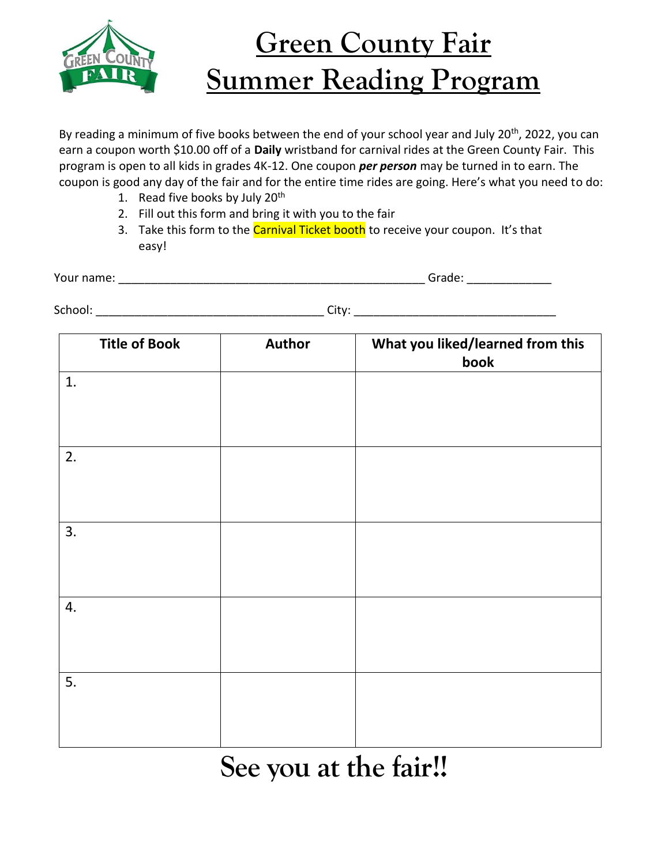

## **Green County Fair Summer Reading Program**

By reading a minimum of five books between the end of your school year and July 20<sup>th</sup>, 2022, you can earn a coupon worth \$10.00 off of a **Daily** wristband for carnival rides at the Green County Fair. This program is open to all kids in grades 4K-12. One coupon *per person* may be turned in to earn. The coupon is good any day of the fair and for the entire time rides are going. Here's what you need to do:

- 1. Read five books by July 20<sup>th</sup>
- 2. Fill out this form and bring it with you to the fair
- 3. Take this form to the Carnival Ticket booth to receive your coupon. It's that easy!

| . .<br>name.<br>Your |  |
|----------------------|--|
|                      |  |

School: \_\_\_\_\_\_\_\_\_\_\_\_\_\_\_\_\_\_\_\_\_\_\_\_\_\_\_\_\_\_\_\_\_\_\_ City: \_\_\_\_\_\_\_\_\_\_\_\_\_\_\_\_\_\_\_\_\_\_\_\_\_\_\_\_\_\_\_

| <b>Title of Book</b> | <b>Author</b> | What you liked/learned from this<br>book |
|----------------------|---------------|------------------------------------------|
| 1.                   |               |                                          |
|                      |               |                                          |
| 2.                   |               |                                          |
|                      |               |                                          |
| 3.                   |               |                                          |
|                      |               |                                          |
| 4.                   |               |                                          |
|                      |               |                                          |
| 5.                   |               |                                          |
|                      |               |                                          |

## **See you at the fair!!**